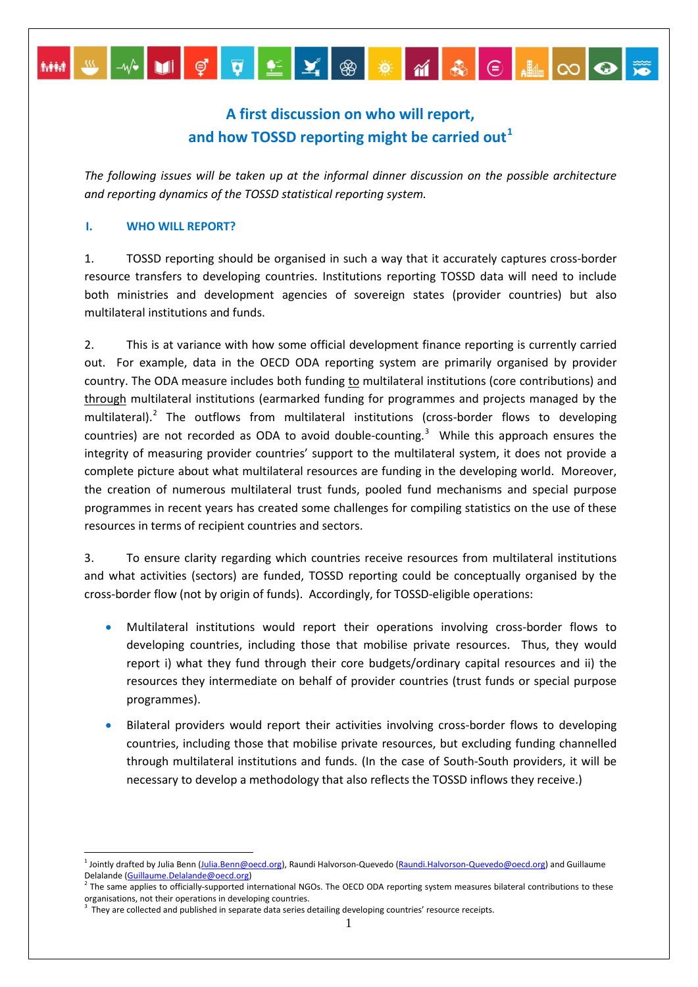# **A first discussion on who will report, and how TOSSD reporting might be carried out[1](#page-0-0)**

*The following issues will be taken up at the informal dinner discussion on the possible architecture and reporting dynamics of the TOSSD statistical reporting system.* 

## **I. WHO WILL REPORT?**

1. TOSSD reporting should be organised in such a way that it accurately captures cross-border resource transfers to developing countries. Institutions reporting TOSSD data will need to include both ministries and development agencies of sovereign states (provider countries) but also multilateral institutions and funds.

2. This is at variance with how some official development finance reporting is currently carried out. For example, data in the OECD ODA reporting system are primarily organised by provider country. The ODA measure includes both funding to multilateral institutions (core contributions) and through multilateral institutions (earmarked funding for programmes and projects managed by the multilateral).<sup>[2](#page-0-1)</sup> The outflows from multilateral institutions (cross-border flows to developing countries) are not recorded as ODA to avoid double-counting.<sup>[3](#page-0-2)</sup> While this approach ensures the integrity of measuring provider countries' support to the multilateral system, it does not provide a complete picture about what multilateral resources are funding in the developing world. Moreover, the creation of numerous multilateral trust funds, pooled fund mechanisms and special purpose programmes in recent years has created some challenges for compiling statistics on the use of these resources in terms of recipient countries and sectors.

3. To ensure clarity regarding which countries receive resources from multilateral institutions and what activities (sectors) are funded, TOSSD reporting could be conceptually organised by the cross-border flow (not by origin of funds). Accordingly, for TOSSD-eligible operations:

- Multilateral institutions would report their operations involving cross-border flows to developing countries, including those that mobilise private resources. Thus, they would report i) what they fund through their core budgets/ordinary capital resources and ii) the resources they intermediate on behalf of provider countries (trust funds or special purpose programmes).
- Bilateral providers would report their activities involving cross-border flows to developing countries, including those that mobilise private resources, but excluding funding channelled through multilateral institutions and funds. (In the case of South-South providers, it will be necessary to develop a methodology that also reflects the TOSSD inflows they receive.)

<sup>&</sup>lt;sup>1</sup> Jointly drafted by Julia Benn [\(Julia.Benn@oecd.org\),](mailto:Julia.Benn@oecd.org) Raundi Halvorson-Quevedo [\(Raundi.Halvorson-Quevedo@oecd.org\)](mailto:Raundi.Halvorson-Quevedo@oecd.org) and Guillaume

<span id="page-0-1"></span><span id="page-0-0"></span>Delalande [\(Guillaume.Delalande@oecd.org\)](mailto:Guillaume.Delalande@oecd.org)<br><sup>2</sup> The same applies to officially-supported international NGOs. The OECD ODA reporting system measures bilateral contributions to these organisations, not their operations in developing countries.

<span id="page-0-2"></span><sup>3</sup> They are collected and published in separate data series detailing developing countries' resource receipts.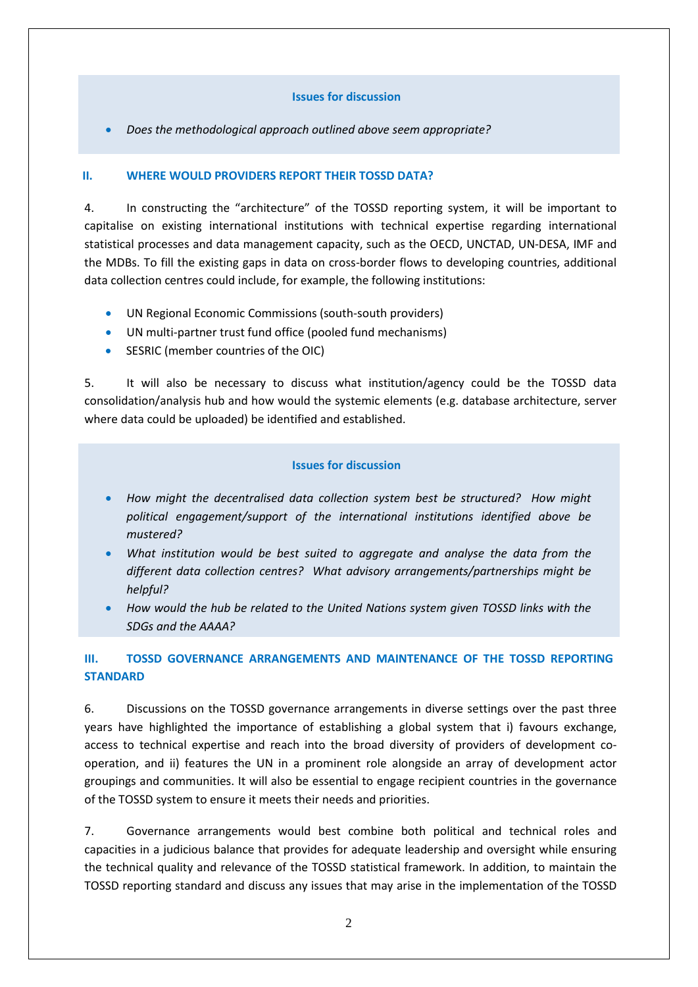#### **Issues for discussion**

• *Does the methodological approach outlined above seem appropriate?*

#### **II. WHERE WOULD PROVIDERS REPORT THEIR TOSSD DATA?**

4. In constructing the "architecture" of the TOSSD reporting system, it will be important to capitalise on existing international institutions with technical expertise regarding international statistical processes and data management capacity, such as the OECD, UNCTAD, UN-DESA, IMF and the MDBs. To fill the existing gaps in data on cross-border flows to developing countries, additional data collection centres could include, for example, the following institutions:

- UN Regional Economic Commissions (south-south providers)
- UN multi-partner trust fund office (pooled fund mechanisms)
- SESRIC (member countries of the OIC)

5. It will also be necessary to discuss what institution/agency could be the TOSSD data consolidation/analysis hub and how would the systemic elements (e.g. database architecture, server where data could be uploaded) be identified and established.

#### **Issues for discussion**

- *How might the decentralised data collection system best be structured? How might political engagement/support of the international institutions identified above be mustered?*
- *What institution would be best suited to aggregate and analyse the data from the different data collection centres? What advisory arrangements/partnerships might be helpful?*
- *How would the hub be related to the United Nations system given TOSSD links with the SDGs and the AAAA?*

# **III. TOSSD GOVERNANCE ARRANGEMENTS AND MAINTENANCE OF THE TOSSD REPORTING STANDARD**

6. Discussions on the TOSSD governance arrangements in diverse settings over the past three years have highlighted the importance of establishing a global system that i) favours exchange, access to technical expertise and reach into the broad diversity of providers of development cooperation, and ii) features the UN in a prominent role alongside an array of development actor groupings and communities. It will also be essential to engage recipient countries in the governance of the TOSSD system to ensure it meets their needs and priorities.

7. Governance arrangements would best combine both political and technical roles and capacities in a judicious balance that provides for adequate leadership and oversight while ensuring the technical quality and relevance of the TOSSD statistical framework. In addition, to maintain the TOSSD reporting standard and discuss any issues that may arise in the implementation of the TOSSD